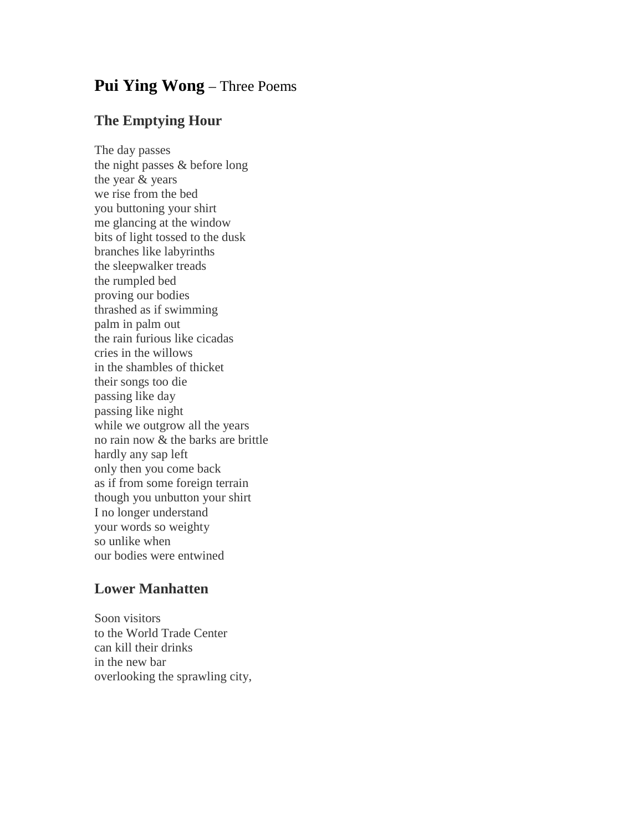## **Pui Ying Wong** – Three Poems

## **The Emptying Hour**

The day passes the night passes & before long the year & years we rise from the bed you buttoning your shirt me glancing at the window bits of light tossed to the dusk branches like labyrinths the sleepwalker treads the rumpled bed proving our bodies thrashed as if swimming palm in palm out the rain furious like cicadas cries in the willows in the shambles of thicket their songs too die passing like day passing like night while we outgrow all the years no rain now & the barks are brittle hardly any sap left only then you come back as if from some foreign terrain though you unbutton your shirt I no longer understand your words so weighty so unlike when our bodies were entwined

## **Lower Manhatten**

Soon visitors to the World Trade Center can kill their drinks in the new bar overlooking the sprawling city,